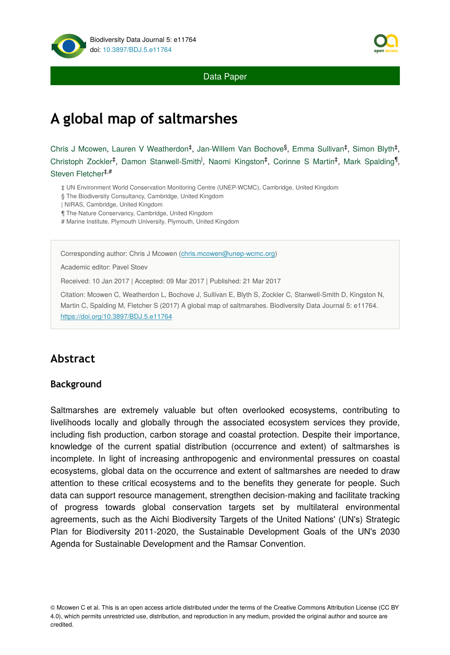

Data Paper

# **A global map of saltmarshes**

Chris J Mcowen, Lauren V Weatherdon<sup>‡</sup>, Jan-Willem Van Bochove<sup>§</sup>, Emma Sullivan<sup>‡</sup>, Simon Blyth<sup>‡</sup>, Christoph Zockler<sup>‡</sup>, Damon Stanwell-Smith<sup>1</sup>, Naomi Kingston<sup>‡</sup>, Corinne S Martin<sup>‡</sup>, Mark Spalding<sup>1</sup>, Steven Fletcher ‡,#

‡ UN Environment World Conservation Monitoring Centre (UNEP-WCMC), Cambridge, United Kingdom

§ The Biodiversity Consultancy, Cambridge, United Kingdom

| NIRAS, Cambridge, United Kingdom

¶ The Nature Conservancy, Cambridge, United Kingdom

# Marine Institute, Plymouth University, Plymouth, United Kingdom

Corresponding author: Chris J Mcowen [\(chris.mcowen@unep-wcmc.org\)](mailto:chris.mcowen@unep-wcmc.org)

Academic editor: Pavel Stoev

Received: 10 Jan 2017 | Accepted: 09 Mar 2017 | Published: 21 Mar 2017

Citation: Mcowen C, Weatherdon L, Bochove J, Sullivan E, Blyth S, Zockler C, Stanwell-Smith D, Kingston N, Martin C, Spalding M, Fletcher S (2017) A global map of saltmarshes. Biodiversity Data Journal 5: e11764. <https://doi.org/10.3897/BDJ.5.e11764>

# **Abstract**

#### **Background**

Saltmarshes are extremely valuable but often overlooked ecosystems, contributing to livelihoods locally and globally through the associated ecosystem services they provide, including fish production, carbon storage and coastal protection. Despite their importance, knowledge of the current spatial distribution (occurrence and extent) of saltmarshes is incomplete. In light of increasing anthropogenic and environmental pressures on coastal ecosystems, global data on the occurrence and extent of saltmarshes are needed to draw attention to these critical ecosystems and to the benefits they generate for people. Such data can support resource management, strengthen decision-making and facilitate tracking of progress towards global conservation targets set by multilateral environmental agreements, such as the Aichi Biodiversity Targets of the United Nations' (UN's) Strategic Plan for Biodiversity 2011-2020, the Sustainable Development Goals of the UN's 2030 Agenda for Sustainable Development and the Ramsar Convention.



<sup>©</sup> Mcowen C et al. This is an open access article distributed under the terms of the Creative Commons Attribution License (CC BY 4.0), which permits unrestricted use, distribution, and reproduction in any medium, provided the original author and source are credited.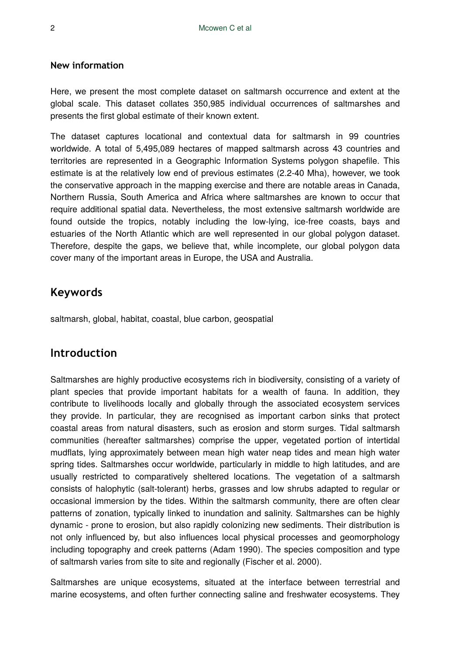#### **New information**

Here, we present the most complete dataset on saltmarsh occurrence and extent at the global scale. This dataset collates 350,985 individual occurrences of saltmarshes and presents the first global estimate of their known extent.

The dataset captures locational and contextual data for saltmarsh in 99 countries worldwide. A total of 5,495,089 hectares of mapped saltmarsh across 43 countries and territories are represented in a Geographic Information Systems polygon shapefile. This estimate is at the relatively low end of previous estimates (2.2-40 Mha), however, we took the conservative approach in the mapping exercise and there are notable areas in Canada, Northern Russia, South America and Africa where saltmarshes are known to occur that require additional spatial data. Nevertheless, the most extensive saltmarsh worldwide are found outside the tropics, notably including the low-lying, ice-free coasts, bays and estuaries of the North Atlantic which are well represented in our global polygon dataset. Therefore, despite the gaps, we believe that, while incomplete, our global polygon data cover many of the important areas in Europe, the USA and Australia.

# **Keywords**

saltmarsh, global, habitat, coastal, blue carbon, geospatial

## **Introduction**

Saltmarshes are highly productive ecosystems rich in biodiversity, consisting of a variety of plant species that provide important habitats for a wealth of fauna. In addition, they contribute to livelihoods locally and globally through the associated ecosystem services they provide. In particular, they are recognised as important carbon sinks that protect coastal areas from natural disasters, such as erosion and storm surges. Tidal saltmarsh communities (hereafter saltmarshes) comprise the upper, vegetated portion of intertidal mudflats, lying approximately between mean high water neap tides and mean high water spring tides. Saltmarshes occur worldwide, particularly in middle to high latitudes, and are usually restricted to comparatively sheltered locations. The vegetation of a saltmarsh consists of halophytic (salt-tolerant) herbs, grasses and low shrubs adapted to regular or occasional immersion by the tides. Within the saltmarsh community, there are often clear patterns of zonation, typically linked to inundation and salinity. Saltmarshes can be highly dynamic - prone to erosion, but also rapidly colonizing new sediments. Their distribution is not only influenced by, but also influences local physical processes and geomorphology including topography and creek patterns (Adam 1990). The species composition and type of saltmarsh varies from site to site and regionally (Fischer et al. 2000).

Saltmarshes are unique ecosystems, situated at the interface between terrestrial and marine ecosystems, and often further connecting saline and freshwater ecosystems. They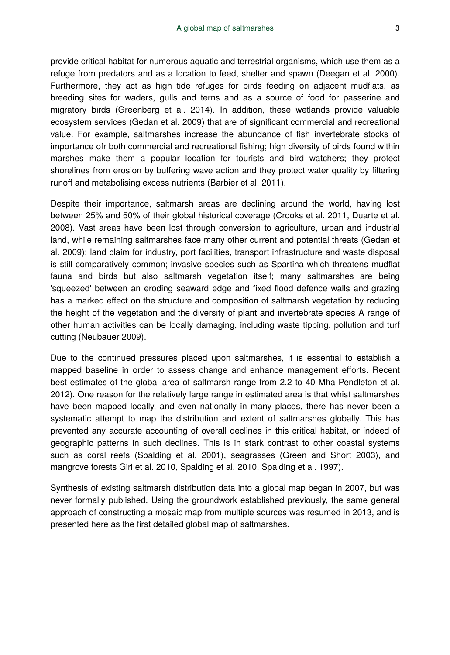provide critical habitat for numerous aquatic and terrestrial organisms, which use them as a refuge from predators and as a location to feed, shelter and spawn (Deegan et al. 2000). Furthermore, they act as high tide refuges for birds feeding on adjacent mudflats, as breeding sites for waders, gulls and terns and as a source of food for passerine and migratory birds (Greenberg et al. 2014). In addition, these wetlands provide valuable ecosystem services (Gedan et al. 2009) that are of significant commercial and recreational value. For example, saltmarshes increase the abundance of fish invertebrate stocks of importance ofr both commercial and recreational fishing; high diversity of birds found within marshes make them a popular location for tourists and bird watchers; they protect shorelines from erosion by buffering wave action and they protect water quality by filtering runoff and metabolising excess nutrients (Barbier et al. 2011).

Despite their importance, saltmarsh areas are declining around the world, having lost between 25% and 50% of their global historical coverage (Crooks et al. 2011, Duarte et al. 2008). Vast areas have been lost through conversion to agriculture, urban and industrial land, while remaining saltmarshes face many other current and potential threats (Gedan et al. 2009): land claim for industry, port facilities, transport infrastructure and waste disposal is still comparatively common; invasive species such as Spartina which threatens mudflat fauna and birds but also saltmarsh vegetation itself; many saltmarshes are being 'squeezed' between an eroding seaward edge and fixed flood defence walls and grazing has a marked effect on the structure and composition of saltmarsh vegetation by reducing the height of the vegetation and the diversity of plant and invertebrate species A range of other human activities can be locally damaging, including waste tipping, pollution and turf cutting (Neubauer 2009).

Due to the continued pressures placed upon saltmarshes, it is essential to establish a mapped baseline in order to assess change and enhance management efforts. Recent best estimates of the global area of saltmarsh range from 2.2 to 40 Mha Pendleton et al. 2012). One reason for the relatively large range in estimated area is that whist saltmarshes have been mapped locally, and even nationally in many places, there has never been a systematic attempt to map the distribution and extent of saltmarshes globally. This has prevented any accurate accounting of overall declines in this critical habitat, or indeed of geographic patterns in such declines. This is in stark contrast to other coastal systems such as coral reefs (Spalding et al. 2001), seagrasses (Green and Short 2003), and mangrove forests Giri et al. 2010, Spalding et al. 2010, Spalding et al. 1997).

Synthesis of existing saltmarsh distribution data into a global map began in 2007, but was never formally published. Using the groundwork established previously, the same general approach of constructing a mosaic map from multiple sources was resumed in 2013, and is presented here as the first detailed global map of saltmarshes.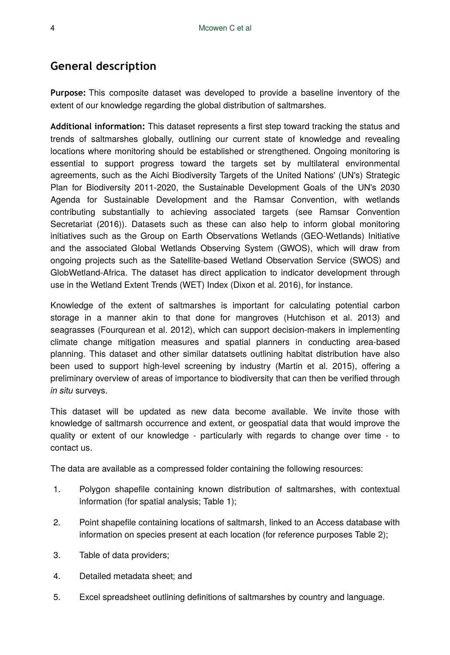# **General description**

**Purpose:** This composite dataset was developed to provide a baseline inventory of the extent of our knowledge regarding the global distribution of saltmarshes.

**Additional information:** This dataset represents a first step toward tracking the status and trends of saltmarshes globally, outlining our current state of knowledge and revealing locations where monitoring should be established or strengthened. Ongoing monitoring is essential to support progress toward the targets set by multilateral environmental agreements, such as the Aichi Biodiversity Targets of the United Nations' (UN's) Strategic Plan for Biodiversity 2011-2020, the Sustainable Development Goals of the UN's 2030 Agenda for Sustainable Development and the Ramsar Convention, with wetlands contributing substantially to achieving associated targets (see Ramsar Convention Secretariat (2016)). Datasets such as these can also help to inform global monitoring initiatives such as the Group on Earth Observations Wetlands (GEO-Wetlands) Initiative and the associated Global Wetlands Observing System (GWOS), which will draw from ongoing projects such as the Satellite-based Wetland Observation Service (SWOS) and GlobWetland-Africa. The dataset has direct application to indicator development through use in the Wetland Extent Trends (WET) Index (Dixon et al. 2016), for instance.

Knowledge of the extent of saltmarshes is important for calculating potential carbon storage in a manner akin to that done for mangroves (Hutchison et al. 2013) and seagrasses (Fourqurean et al. 2012), which can support decision-makers in implementing climate change mitigation measures and spatial planners in conducting area-based planning. This dataset and other similar datatsets outlining habitat distribution have also been used to support high-level screening by industry (Martin et al. 2015), offering a preliminary overview of areas of importance to biodiversity that can then be verified through *in situ* surveys.

This dataset will be updated as new data become available. We invite those with knowledge of saltmarsh occurrence and extent, or geospatial data that would improve the quality or extent of our knowledge - particularly with regards to change over time - to contact us.

The data are available as a compressed folder containing the following resources:

- 1. Polygon shapefile containing known distribution of saltmarshes, with contextual information (for spatial analysis; Table 1);
- 2. Point shapefile containing locations of saltmarsh, linked to an Access database with information on species present at each location (for reference purposes Table 2);
- 3. Table of data providers;
- 4. Detailed metadata sheet; and
- 5. Excel spreadsheet outlining definitions of saltmarshes by country and language.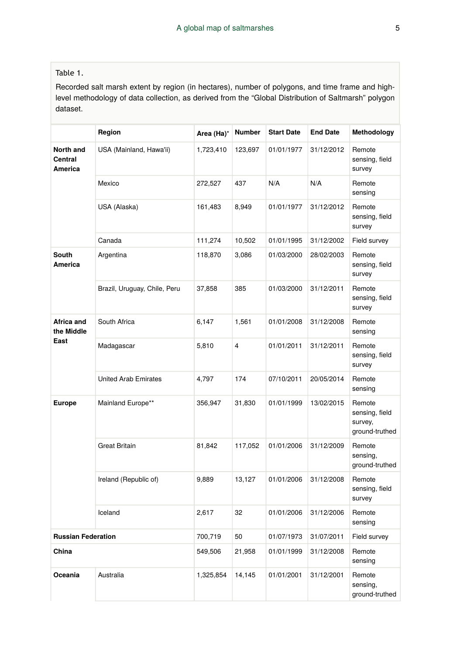#### Table 1.

Recorded salt marsh extent by region (in hectares), number of polygons, and time frame and highlevel methodology of data collection, as derived from the "Global Distribution of Saltmarsh" polygon dataset.

|                                  | Region                       | Area (Ha)* | <b>Number</b>  | <b>Start Date</b> | <b>End Date</b> | Methodology                                           |
|----------------------------------|------------------------------|------------|----------------|-------------------|-----------------|-------------------------------------------------------|
| North and<br>Central<br>America  | USA (Mainland, Hawa'ii)      | 1,723,410  | 123,697        | 01/01/1977        | 31/12/2012      | Remote<br>sensing, field<br>survey                    |
|                                  | Mexico                       | 272,527    | 437            | N/A               | N/A             | Remote<br>sensing                                     |
|                                  | USA (Alaska)                 | 161,483    | 8,949          | 01/01/1977        | 31/12/2012      | Remote<br>sensing, field<br>survey                    |
|                                  | Canada                       | 111,274    | 10,502         | 01/01/1995        | 31/12/2002      | Field survey                                          |
| South<br>America                 | Argentina                    | 118,870    | 3,086          | 01/03/2000        | 28/02/2003      | Remote<br>sensing, field<br>survey                    |
|                                  | Brazil, Uruguay, Chile, Peru | 37,858     | 385            | 01/03/2000        | 31/12/2011      | Remote<br>sensing, field<br>survey                    |
| Africa and<br>the Middle<br>East | South Africa                 | 6,147      | 1,561          | 01/01/2008        | 31/12/2008      | Remote<br>sensing                                     |
|                                  | Madagascar                   | 5,810      | $\overline{4}$ | 01/01/2011        | 31/12/2011      | Remote<br>sensing, field<br>survey                    |
|                                  | <b>United Arab Emirates</b>  | 4,797      | 174            | 07/10/2011        | 20/05/2014      | Remote<br>sensing                                     |
| <b>Europe</b>                    | Mainland Europe**            | 356,947    | 31,830         | 01/01/1999        | 13/02/2015      | Remote<br>sensing, field<br>survey,<br>ground-truthed |
|                                  | <b>Great Britain</b>         | 81,842     | 117,052        | 01/01/2006        | 31/12/2009      | Remote<br>sensing,<br>ground-truthed                  |
|                                  | Ireland (Republic of)        | 9,889      | 13,127         | 01/01/2006        | 31/12/2008      | Remote<br>sensing, field<br>survey                    |
|                                  | Iceland                      | 2,617      | 32             | 01/01/2006        | 31/12/2006      | Remote<br>sensing                                     |
| <b>Russian Federation</b>        |                              | 700,719    | 50             | 01/07/1973        | 31/07/2011      | Field survey                                          |
| China                            |                              | 549,506    | 21,958         | 01/01/1999        | 31/12/2008      | Remote<br>sensing                                     |
| Oceania                          | Australia                    | 1,325,854  | 14,145         | 01/01/2001        | 31/12/2001      | Remote<br>sensing,<br>ground-truthed                  |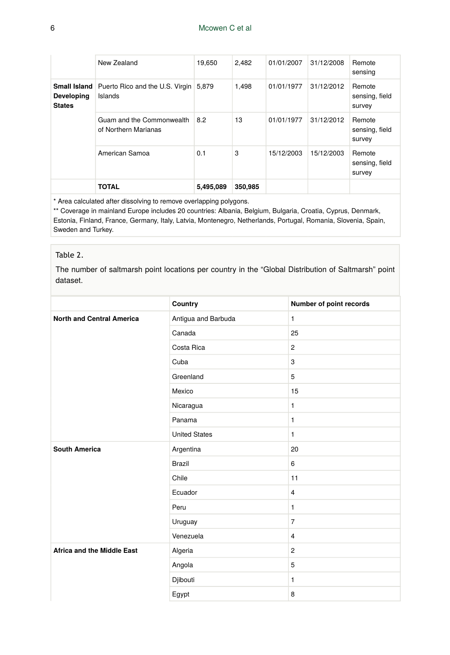#### 6 Mcowen C et al

|                                    | New Zealand                                                          | 19,650    | 2,482   | 01/01/2007 | 31/12/2008 | Remote<br>sensing                  |
|------------------------------------|----------------------------------------------------------------------|-----------|---------|------------|------------|------------------------------------|
| <b>Developing</b><br><b>States</b> | <b>Small Island</b> Puerto Rico and the U.S. Virgin 5,879<br>Islands |           | 1.498   | 01/01/1977 | 31/12/2012 | Remote<br>sensing, field<br>survey |
|                                    | Guam and the Commonwealth<br>of Northern Marianas                    | 8.2       | 13      | 01/01/1977 | 31/12/2012 | Remote<br>sensing, field<br>survey |
|                                    | American Samoa                                                       | 0.1       | 3       | 15/12/2003 | 15/12/2003 | Remote<br>sensing, field<br>survey |
|                                    | <b>TOTAL</b>                                                         | 5,495,089 | 350,985 |            |            |                                    |

\* Area calculated after dissolving to remove overlapping polygons.

\*\* Coverage in mainland Europe includes 20 countries: Albania, Belgium, Bulgaria, Croatia, Cyprus, Denmark, Estonia, Finland, France, Germany, Italy, Latvia, Montenegro, Netherlands, Portugal, Romania, Slovenia, Spain, Sweden and Turkey.

#### Table 2.

The number of saltmarsh point locations per country in the "Global Distribution of Saltmarsh" point dataset.

|                                   | Country              | Number of point records |
|-----------------------------------|----------------------|-------------------------|
| <b>North and Central America</b>  | Antigua and Barbuda  | $\mathbf{1}$            |
|                                   | Canada               | 25                      |
|                                   | Costa Rica           | $\overline{2}$          |
|                                   | Cuba                 | 3                       |
|                                   | Greenland            | 5                       |
|                                   | Mexico               | 15                      |
|                                   | Nicaragua            | $\mathbf{1}$            |
|                                   | Panama               | $\mathbf{1}$            |
|                                   | <b>United States</b> | $\mathbf{1}$            |
| <b>South America</b>              | Argentina            | 20                      |
|                                   | <b>Brazil</b>        | 6                       |
|                                   | Chile                | 11                      |
|                                   | Ecuador              | $\overline{4}$          |
|                                   | Peru                 | $\mathbf{1}$            |
|                                   | Uruguay              | $\overline{7}$          |
|                                   | Venezuela            | $\overline{4}$          |
| <b>Africa and the Middle East</b> | Algeria              | $\overline{2}$          |
|                                   | Angola               | 5                       |
|                                   | Djibouti             | $\mathbf{1}$            |
|                                   | Egypt                | 8                       |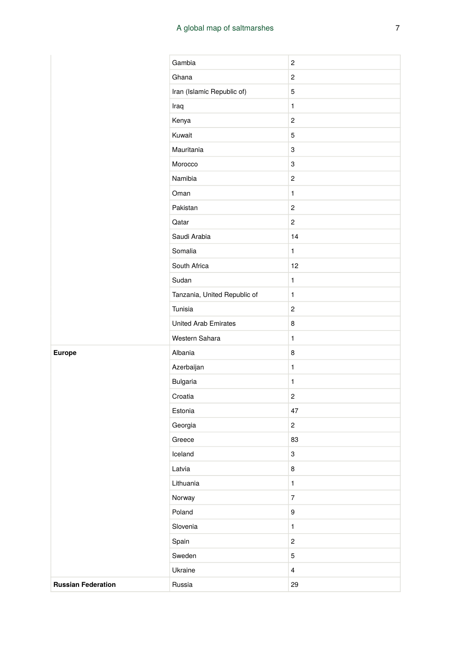#### A global map of saltmarshes 7

|  | Gambia                       | 2                       |
|--|------------------------------|-------------------------|
|  | Ghana                        | $\overline{c}$          |
|  | Iran (Islamic Republic of)   | 5                       |
|  | Iraq                         | 1                       |
|  | Kenya                        | $\overline{c}$          |
|  | Kuwait                       | 5                       |
|  | Mauritania                   | 3                       |
|  | Morocco                      | 3                       |
|  | Namibia                      | 2                       |
|  | Oman                         | $\mathbf{1}$            |
|  | Pakistan                     | 2                       |
|  | Qatar                        | $\overline{c}$          |
|  | Saudi Arabia                 | 14                      |
|  | Somalia                      | 1                       |
|  | South Africa                 | 12                      |
|  | Sudan                        | 1                       |
|  | Tanzania, United Republic of | 1                       |
|  | Tunisia                      | 2                       |
|  | <b>United Arab Emirates</b>  | 8                       |
|  | Western Sahara               | 1                       |
|  | Albania                      | 8                       |
|  | Azerbaijan                   | 1                       |
|  | <b>Bulgaria</b>              | 1                       |
|  | Croatia                      | 2                       |
|  | Estonia                      | 47                      |
|  | Georgia                      | $\overline{c}$          |
|  | Greece                       | 83                      |
|  | Iceland                      | 3                       |
|  | Latvia                       | 8                       |
|  | Lithuania                    | $\mathbf{1}$            |
|  | Norway                       | $\boldsymbol{7}$        |
|  | Poland                       | $\boldsymbol{9}$        |
|  | Slovenia                     | $\mathbf{1}$            |
|  | Spain                        | $\overline{\mathbf{c}}$ |
|  | Sweden                       | 5                       |
|  | Ukraine                      | $\overline{\mathbf{4}}$ |
|  | Russia                       | 29                      |
|  |                              |                         |

**Europe** 

**Russian Federation**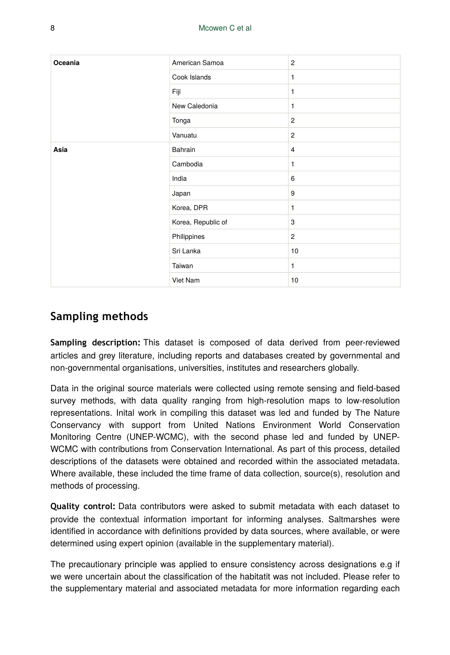| Oceania | American Samoa     | $\overline{2}$ |
|---------|--------------------|----------------|
|         | Cook Islands       | 1              |
|         | Fiji               | 1              |
|         | New Caledonia      | 1              |
|         | Tonga              | $\overline{c}$ |
|         | Vanuatu            | $\mathbf{2}$   |
| Asia    | Bahrain            | $\overline{4}$ |
|         | Cambodia           | 1              |
|         | India              | 6              |
|         | Japan              | 9              |
|         | Korea, DPR         | 1              |
|         | Korea, Republic of | 3              |
|         | Philippines        | $\overline{2}$ |
|         | Sri Lanka          | 10             |
|         | Taiwan             | 1              |
|         | Viet Nam           | 10             |

# **Sampling methods**

**Sampling description:** This dataset is composed of data derived from peer-reviewed articles and grey literature, including reports and databases created by governmental and non-governmental organisations, universities, institutes and researchers globally.

Data in the original source materials were collected using remote sensing and field-based survey methods, with data quality ranging from high-resolution maps to low-resolution representations. Inital work in compiling this dataset was led and funded by The Nature Conservancy with support from United Nations Environment World Conservation Monitoring Centre (UNEP-WCMC), with the second phase led and funded by UNEP-WCMC with contributions from Conservation International. As part of this process, detailed descriptions of the datasets were obtained and recorded within the associated metadata. Where available, these included the time frame of data collection, source(s), resolution and methods of processing.

**Quality control:** Data contributors were asked to submit metadata with each dataset to provide the contextual information important for informing analyses. Saltmarshes were identified in accordance with definitions provided by data sources, where available, or were determined using expert opinion (available in the supplementary material).

The precautionary principle was applied to ensure consistency across designations e.g if we were uncertain about the classification of the habitatit was not included. Please refer to the supplementary material and associated metadata for more information regarding each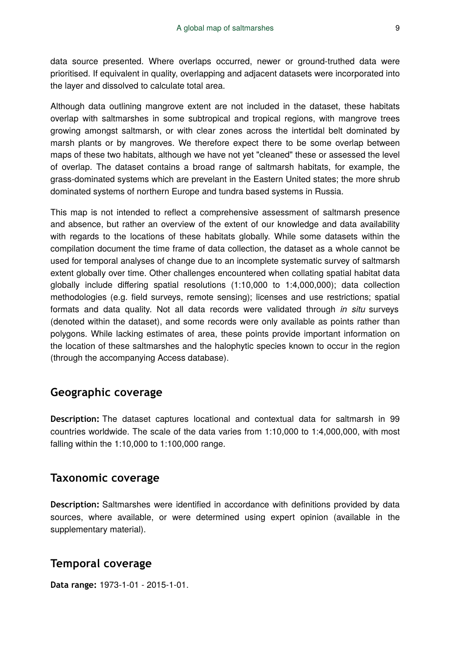data source presented. Where overlaps occurred, newer or ground-truthed data were prioritised. If equivalent in quality, overlapping and adjacent datasets were incorporated into the layer and dissolved to calculate total area.

Although data outlining mangrove extent are not included in the dataset, these habitats overlap with saltmarshes in some subtropical and tropical regions, with mangrove trees growing amongst saltmarsh, or with clear zones across the intertidal belt dominated by marsh plants or by mangroves. We therefore expect there to be some overlap between maps of these two habitats, although we have not yet "cleaned" these or assessed the level of overlap. The dataset contains a broad range of saltmarsh habitats, for example, the grass-dominated systems which are prevelant in the Eastern United states; the more shrub dominated systems of northern Europe and tundra based systems in Russia.

This map is not intended to reflect a comprehensive assessment of saltmarsh presence and absence, but rather an overview of the extent of our knowledge and data availability with regards to the locations of these habitats globally. While some datasets within the compilation document the time frame of data collection, the dataset as a whole cannot be used for temporal analyses of change due to an incomplete systematic survey of saltmarsh extent globally over time. Other challenges encountered when collating spatial habitat data globally include differing spatial resolutions (1:10,000 to 1:4,000,000); data collection methodologies (e.g. field surveys, remote sensing); licenses and use restrictions; spatial formats and data quality. Not all data records were validated through *in situ* surveys (denoted within the dataset), and some records were only available as points rather than polygons. While lacking estimates of area, these points provide important information on the location of these saltmarshes and the halophytic species known to occur in the region (through the accompanying Access database).

## **Geographic coverage**

**Description:** The dataset captures locational and contextual data for saltmarsh in 99 countries worldwide. The scale of the data varies from 1:10,000 to 1:4,000,000, with most falling within the 1:10,000 to 1:100,000 range.

#### **Taxonomic coverage**

**Description:** Saltmarshes were identified in accordance with definitions provided by data sources, where available, or were determined using expert opinion (available in the supplementary material).

## **Temporal coverage**

**Data range:** 1973-1-01 - 2015-1-01.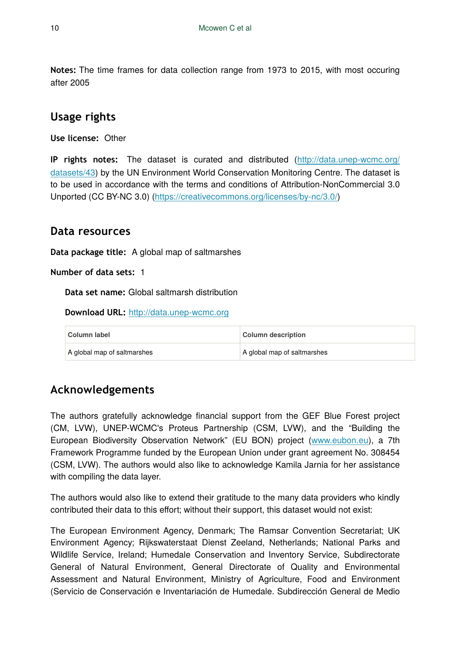**Notes:** The time frames for data collection range from 1973 to 2015, with most occuring after 2005

# **Usage rights**

**Use license:** Other

**IP rights notes:** The dataset is curated and distributed ([http://data.unep-wcmc.org/](http://data.unep-wcmc.org/datasets/43) [datasets/43\)](http://data.unep-wcmc.org/datasets/43) by the UN Environment World Conservation Monitoring Centre. The dataset is to be used in accordance with the terms and conditions of Attribution-NonCommercial 3.0 Unported (CC BY-NC 3.0) (<https://creativecommons.org/licenses/by-nc/3.0/>)

# **Data resources**

**Data package title:** A global map of saltmarshes

**Number of data sets:** 1

**Data set name:** Global saltmarsh distribution

**Download URL:** <http://data.unep-wcmc.org>

| Column label                | <b>Column description</b>   |
|-----------------------------|-----------------------------|
| A global map of saltmarshes | A global map of saltmarshes |

# **Acknowledgements**

The authors gratefully acknowledge financial support from the GEF Blue Forest project (CM, LVW), UNEP-WCMC's Proteus Partnership (CSM, LVW), and the "Building the European Biodiversity Observation Network" (EU BON) project ([www.eubon.eu\)](http://www.eubon.eu/), a 7th Framework Programme funded by the European Union under grant agreement No. 308454 (CSM, LVW). The authors would also like to acknowledge Kamila Jarnia for her assistance with compiling the data layer.

The authors would also like to extend their gratitude to the many data providers who kindly contributed their data to this effort; without their support, this dataset would not exist:

The European Environment Agency, Denmark; The Ramsar Convention Secretariat; UK Environment Agency; Rijkswaterstaat Dienst Zeeland, Netherlands; National Parks and Wildlife Service, Ireland; Humedale Conservation and Inventory Service, Subdirectorate General of Natural Environment, General Directorate of Quality and Environmental Assessment and Natural Environment, Ministry of Agriculture, Food and Environment (Servicio de Conservación e Inventariación de Humedale. Subdirección General de Medio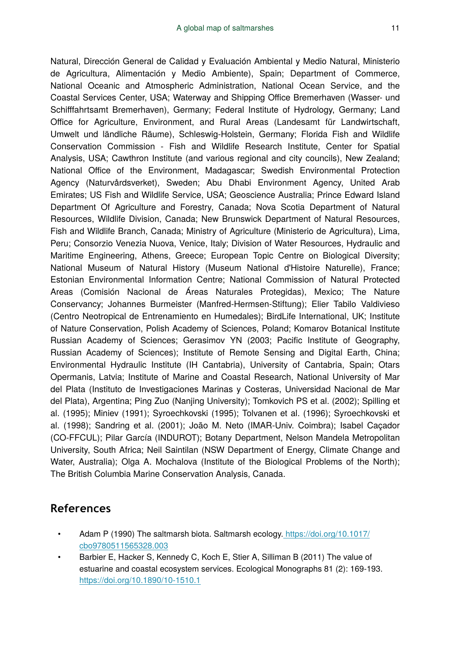Natural, Dirección General de Calidad y Evaluación Ambiental y Medio Natural, Ministerio de Agricultura, Alimentación y Medio Ambiente), Spain; Department of Commerce, National Oceanic and Atmospheric Administration, National Ocean Service, and the Coastal Services Center, USA; Waterway and Shipping Office Bremerhaven (Wasser- und Schifffahrtsamt Bremerhaven), Germany; Federal Institute of Hydrology, Germany; Land Office for Agriculture, Environment, and Rural Areas (Landesamt für Landwirtschaft, Umwelt und ländliche Räume), Schleswig-Holstein, Germany; Florida Fish and Wildlife Conservation Commission - Fish and Wildlife Research Institute, Center for Spatial Analysis, USA; Cawthron Institute (and various regional and city councils), New Zealand; National Office of the Environment, Madagascar; Swedish Environmental Protection Agency (Naturvårdsverket), Sweden; Abu Dhabi Environment Agency, United Arab Emirates; US Fish and Wildlife Service, USA; Geoscience Australia; Prince Edward Island Department Of Agriculture and Forestry, Canada; Nova Scotia Department of Natural Resources, Wildlife Division, Canada; New Brunswick Department of Natural Resources, Fish and Wildlife Branch, Canada; Ministry of Agriculture (Ministerio de Agricultura), Lima, Peru; Consorzio Venezia Nuova, Venice, Italy; Division of Water Resources, Hydraulic and Maritime Engineering, Athens, Greece; European Topic Centre on Biological Diversity; National Museum of Natural History (Museum National d'Histoire Naturelle), France; Estonian Environmental Information Centre; National Commission of Natural Protected Areas (Comisión Nacional de Áreas Naturales Protegidas), Mexico; The Nature Conservancy; Johannes Burmeister (Manfred-Hermsen-Stiftung); Elier Tabilo Valdivieso (Centro Neotropical de Entrenamiento en Humedales); BirdLife International, UK; Institute of Nature Conservation, Polish Academy of Sciences, Poland; Komarov Botanical Institute Russian Academy of Sciences; Gerasimov YN (2003; Pacific Institute of Geography, Russian Academy of Sciences); Institute of Remote Sensing and Digital Earth, China; Environmental Hydraulic Institute (IH Cantabria), University of Cantabria, Spain; Otars Opermanis, Latvia; Institute of Marine and Coastal Research, National University of Mar del Plata (Instituto de Investigaciones Marinas y Costeras, Universidad Nacional de Mar del Plata), Argentina; Ping Zuo (Nanjing University); Tomkovich PS et al. (2002); Spilling et al. (1995); Miniev (1991); Syroechkovski (1995); Tolvanen et al. (1996); Syroechkovski et al. (1998); Sandring et al. (2001); João M. Neto (IMAR-Univ. Coimbra); Isabel Caçador (CO-FFCUL); Pilar García (INDUROT); Botany Department, Nelson Mandela Metropolitan University, South Africa; Neil Saintilan (NSW Department of Energy, Climate Change and Water, Australia); Olga A. Mochalova (Institute of the Biological Problems of the North); The British Columbia Marine Conservation Analysis, Canada.

## **References**

- Adam P (1990) The saltmarsh biota. Saltmarsh ecology[. https://doi.org/10.1017/](https://doi.org/10.1017/cbo9780511565328.003) [cbo9780511565328.003](https://doi.org/10.1017/cbo9780511565328.003)
- Barbier E, Hacker S, Kennedy C, Koch E, Stier A, Silliman B (2011) The value of estuarine and coastal ecosystem services. Ecological Monographs 81 (2): 169‑193. <https://doi.org/10.1890/10-1510.1>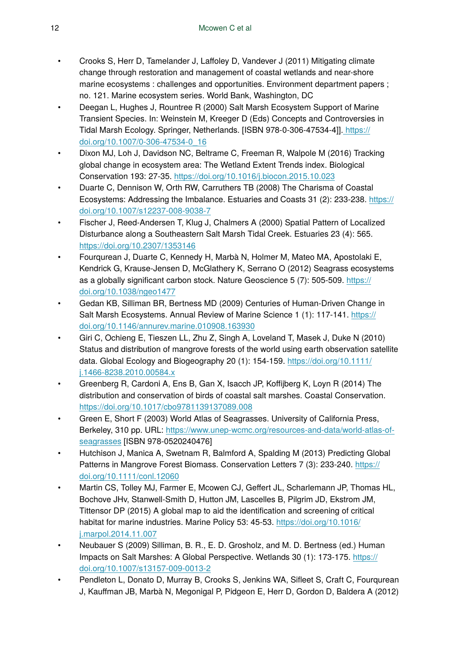- Crooks S, Herr D, Tamelander J, Laffoley D, Vandever J (2011) Mitigating climate change through restoration and management of coastal wetlands and near-shore marine ecosystems : challenges and opportunities. Environment department papers ; no. 121. Marine ecosystem series. World Bank, Washington, DC
- Deegan L, Hughes J, Rountree R (2000) Salt Marsh Ecosystem Support of Marine Transient Species. In: Weinstein M, Kreeger D (Eds) Concepts and Controversies in Tidal Marsh Ecology. Springer, Netherlands. [ISBN 978-0-306-47534-4]][. https://](https://doi.org/10.1007/0-306-47534-0_16) [doi.org/10.1007/0-306-47534-0\\_16](https://doi.org/10.1007/0-306-47534-0_16)
- Dixon MJ, Loh J, Davidson NC, Beltrame C, Freeman R, Walpole M (2016) Tracking global change in ecosystem area: The Wetland Extent Trends index. Biological Conservation 193: 27‑35. <https://doi.org/10.1016/j.biocon.2015.10.023>
- Duarte C, Dennison W, Orth RW, Carruthers TB (2008) The Charisma of Coastal Ecosystems: Addressing the Imbalance. Estuaries and Coasts 31 (2): 233‑238. [https://](https://doi.org/10.1007/s12237-008-9038-7) [doi.org/10.1007/s12237-008-9038-7](https://doi.org/10.1007/s12237-008-9038-7)
- Fischer J, Reed-Andersen T, Klug J, Chalmers A (2000) Spatial Pattern of Localized Disturbance along a Southeastern Salt Marsh Tidal Creek. Estuaries 23 (4): 565. <https://doi.org/10.2307/1353146>
- Fourqurean J, Duarte C, Kennedy H, Marbà N, Holmer M, Mateo MA, Apostolaki E, Kendrick G, Krause-Jensen D, McGlathery K, Serrano O (2012) Seagrass ecosystems as a globally significant carbon stock. Nature Geoscience 5 (7): 505-509. [https://](https://doi.org/10.1038/ngeo1477) [doi.org/10.1038/ngeo1477](https://doi.org/10.1038/ngeo1477)
- Gedan KB, Silliman BR, Bertness MD (2009) Centuries of Human-Driven Change in Salt Marsh Ecosystems. Annual Review of Marine Science 1 (1): 117-141. [https://](https://doi.org/10.1146/annurev.marine.010908.163930) [doi.org/10.1146/annurev.marine.010908.163930](https://doi.org/10.1146/annurev.marine.010908.163930)
- Giri C, Ochieng E, Tieszen LL, Zhu Z, Singh A, Loveland T, Masek J, Duke N (2010) Status and distribution of mangrove forests of the world using earth observation satellite data. Global Ecology and Biogeography 20 (1): 154-159. [https://doi.org/10.1111/](https://doi.org/10.1111/j.1466-8238.2010.00584.x) [j.1466-8238.2010.00584.x](https://doi.org/10.1111/j.1466-8238.2010.00584.x)
- Greenberg R, Cardoni A, Ens B, Gan X, Isacch JP, Koffijberg K, Loyn R (2014) The distribution and conservation of birds of coastal salt marshes. Coastal Conservation. <https://doi.org/10.1017/cbo9781139137089.008>
- Green E, Short F (2003) World Atlas of Seagrasses. University of California Press, Berkeley, 310 pp. URL: [https://www.unep-wcmc.org/resources-and-data/world-atlas-of](https://www.unep-wcmc.org/resources-and-data/world-atlas-of-seagrasses)[seagrasses](https://www.unep-wcmc.org/resources-and-data/world-atlas-of-seagrasses) [ISBN 978-0520240476]
- Hutchison J, Manica A, Swetnam R, Balmford A, Spalding M (2013) Predicting Global Patterns in Mangrove Forest Biomass. Conservation Letters 7 (3): 233-240. [https://](https://doi.org/10.1111/conl.12060) [doi.org/10.1111/conl.12060](https://doi.org/10.1111/conl.12060)
- Martin CS, Tolley MJ, Farmer E, Mcowen CJ, Geffert JL, Scharlemann JP, Thomas HL, Bochove JHv, Stanwell-Smith D, Hutton JM, Lascelles B, Pilgrim JD, Ekstrom JM, Tittensor DP (2015) A global map to aid the identification and screening of critical habitat for marine industries. Marine Policy 53: 45-53. [https://doi.org/10.1016/](https://doi.org/10.1016/j.marpol.2014.11.007) [j.marpol.2014.11.007](https://doi.org/10.1016/j.marpol.2014.11.007)
- Neubauer S (2009) Silliman, B. R., E. D. Grosholz, and M. D. Bertness (ed.) Human Impacts on Salt Marshes: A Global Perspective. Wetlands 30 (1): 173‑175. [https://](https://doi.org/10.1007/s13157-009-0013-2) [doi.org/10.1007/s13157-009-0013-2](https://doi.org/10.1007/s13157-009-0013-2)
- Pendleton L, Donato D, Murray B, Crooks S, Jenkins WA, Sifleet S, Craft C, Fourqurean J, Kauffman JB, Marbà N, Megonigal P, Pidgeon E, Herr D, Gordon D, Baldera A (2012)